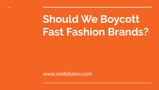## **Should We Boycott Fast Fashion Brands?**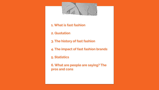

**1. What is fast fashion**

**2. Quotation**

- **3. The history of fast fashion**
- **4. The impact of fast fashion brands**

**5. Statistics**

**6. What are people are saying? The pros and cons**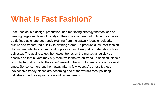## **What is Fast Fashion?**

Fast Fashion is a design, production, and marketing strategy that focuses on creating large quantities of trendy clothes in a short amount of time. It can also be defined as cheap but trendy clothing from the catwalk ideas or celebrity culture and transferred quickly to clothing stores. To produce a low-cost fashion, clothing manufacturers use trend duplication and low-quality materials such as polyester. The goal is to get the newest trends on the market as quickly as possible so that buyers may buy them while they're on-trend. In addition, since it is not high-quality made, they aren't meant to be worn for years or even several times. So, consumers put them away after a few wears. As a result, these inexpensive trendy pieces are becoming one of the world's most polluting industries due to overproduction and consumerism.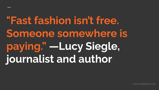**"Fast fashion isn't free. Someone somewhere is paying." —Lucy Siegle, journalist and author**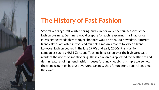

### **The History of Fast Fashion**

Several years ago, fall, winter, spring, and summer were the four seasons of the fashion business. Designers would prepare for each season months in advance, guessing the trends they thought shoppers would prefer. But nowadays, different trendy styles are often introduced multiple times in a month to stay on-trend. Low-cost fashion peaked in the late 1990s and early 2000s. Fast-fashion companies such as H&M, Zara, and Topshop have taken over the high street as a result of the rise of online shopping. These companies replicated the aesthetics and design features of high-end fashion houses fast and cheaply. It's simple to see how the trend caught on because everyone can now shop for on-trend apparel anytime they want.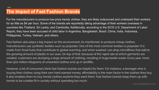#### **The Impact of Fast Fashion Brands**

For the manufacturers to produce low-price trendy clothes, they are likely outsourced and underpaid their workers for as little as \$4 per hour. Some of the brands are reportedly taking advantage of their workers overseas in countries like Thailand, Sri Lanka, and Cambodia. Additionally, according to the 2018 U.S. Department of Labor Report, they have been accused of child labor in Argentina, Bangladesh, Brazil, China, India, Indonesia, Phillippines, Turkey, Vietnam, and others.

Fast fashion also plays a big impact on the environment. As mentioned, to produce cheap clothes, manufacturers use synthetic textiles such as polyester. One of the most common textiles is polyester. It is made from fossil fuels that contribute to global warming, and when washed, can drop microfibres that add to the growing amount of plastic in our seas. On top of that, because of the rapid rate at which garments are created, customers are dumping a large amount of clothing, resulting in huge textile waste. Every year, more than 500 million kilograms of unwanted clothes end up in landfills.

However, a lot of consumers think fast fashion brands are helpful for them. For instance, a teenager who is buying their clothes using their own hard-earned money, affordability is the main factor in the clothes they buy. It also enables them to buy trendy clothes anytime they want them. Fast fashion brands keep them up with trends to be a better fit in society without spending too much.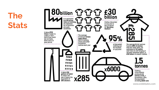

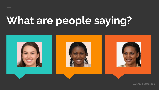# **What are people saying?**

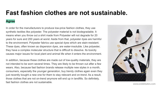### **Fast fashion clothes are not sustainable.**

#### **Agree**

In order for the manufacturers to produce low-price fashion clothes, they use synthetic textiles like polyester. The polyester material is not biodegradable. It means when you throw out a shirt made from Polyester will not degrade for 20 years for sure and 200 years at worst. Aside from that, polyester dyes are harmful to the environment. Polyester fabrics use special dyes which are stain-resistant. These dyes, often known as dispersion dyes, are water-insoluble. Like polyester, they have a complex molecular structure that is difficult to dissolve. Its toxicity causes major issues for local plant and animal life when it enters the environment.

In addition, because these clothes are made out of low-quality materials, they are not intended to be worn several times. They are likely to be thrown out after a few wears. Also, because fast fashion brands release multiple new styles in a month, consumers, especially the younger generation, buy trendy clothes again even they just recently bought a new one for them to stay relevant and on-trend. As a result, those clothes that are not on-trend anymore will end up in landfills. So definitely, fast fashion clothes are not sustainable.

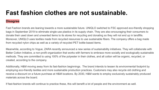### **Fast fashion clothes are not sustainable.**

#### **Disagree**

Fast Fashion brands are leaning towards a more sustainable future. UNIQLO switched to FSC approved eco-friendly shopping bags in September 2019 to eliminate single-use plastics in its supply chain. They are also encouraging their consumers to donate their used down and unwanted items to its stores for recycling and donating so they will not end up in landfills. Moreover, UNIQLO uses textiles made from recycled resources to use sustainable fibers. The company offers a bag made from recycled nylon chips as well as a variety of recycled PET bottle-based items.

Meanwhile, according to Vogue, ZARA recently announced a new series of sustainability initiatives. They will collaborate with Better Cotton Initiative, a non-profit organization that works with farmers to embrace more socially and ecologically sustainable methods. They are committed to using 100% of the polyester in their clothes, and all cotton will be organic, recycled, or created, according to the company.

Additionally, H&M moving away from its fast-fashion beginnings. The brand intends to lessen its environmental footprint by employing eco-friendly textiles and more sustainable production practices. Customers may also recycle old clothing and receive a discount on a future purchase at H&M locations. By 2030, H&M wants to employ exclusively sustainably produced materials across the board.

If fast-fashion brands will continue to practice these, this will benefit a lot of people and the environment as well.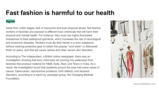### **Fast fashion is harmful to our health**

#### **Agree**

Aside from unfair wages, lack of resources and even physical abuse, fast fashion workers in factories are exposed to different toxic chemicals that will harm their physical and mental health. For instance, they must use highly fluorinated substances to treat waterproof garments, which increases the risk of neurological and endocrine diseases. Workers must dip their hands in a toxic substance without wearing protective gear to obtain the popular "acid wash" or distressed finish on jeans, and that will cause rashes and other severe skin disorders.

According to The Independent, a British online newspaper, there was an investigation showing that toxic chemicals are pouring into waterways from factories that produce material for H&M, Asda, Next, and Tesco in India. As a result, the investigation found that residents around the area had some cases of cancer, tuberculosis, reproductive problems, birth defects, and stomach disorders, according to a report by campaign group, the Changing Markets Foundation.

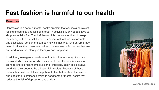### **Fast fashion is harmful to our health**

#### **Disagree**

Depression is a serious mental health problem that causes a persistent feeling of sadness and loss of interest in activities. Many people love to shop, especially Gen Z and Millenials. It is one way for them to keep their sanity in this stressful world. Because fast fashion is affordable and accessible, consumers can buy new clothes they love anytime they want. It allows the consumers to keep themselves in for clothes that are on-trend today that also give them joy and happiness.

In addition, teenagers nowadays look at fashion as a way of showing the world who they are or who they want to be. Fashion is a way for teenagers to express themselves, their interests, attain social status, bond with their peers to be a better fit in society. Because of these factors, fast-fashion clothes help them to feel better about themselves and boost their confidence which is good for their mental health that reduces the risk of depression and anxiety.

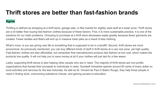### **Thrift stores are better than fast-fashion brands**

#### **Agree**

Thrifting is defined as shopping at a thrift store, garage sale, or flea market for slightly used stuff at a lower price. Thrift stores are a lot better than buying fast-fashion clothes because of these factors: First, it is more sustainable practice, it is one of the solutions for our trash problems. Choosing to purchase at a thrift store decreases waste greatly because fewer garments are created. Fewer textiles and fibers will end up in massive trash piles as a result of less clothing.

What's more, is you are giving new life to something that is supposed to be in a landfill. Second, thrift stores are more economical. As previously mentioned, you can buy different kinds of stuff in thrift stores at a very low price, yet high quality. Fast-fashion clothes are also affordable, but remember that manufacturers produce fast fashion at low cost, which makes the products low quality. It will not help you to save money at all if your clothes will just last for a few wears.

Lastly, supporting thrift stores is also helping other people who are in need. The majority of thrift stores are non-profits organizations that donate their proceeds to individuals in need. Goodwill Industries spends around 83 cents of every dollar on local activities and services for the less fortunate. As well as St. Vincent de Paul in Baton Rouge, they help those people in need in finding work, overcoming substance misuse, and gaining access to education.